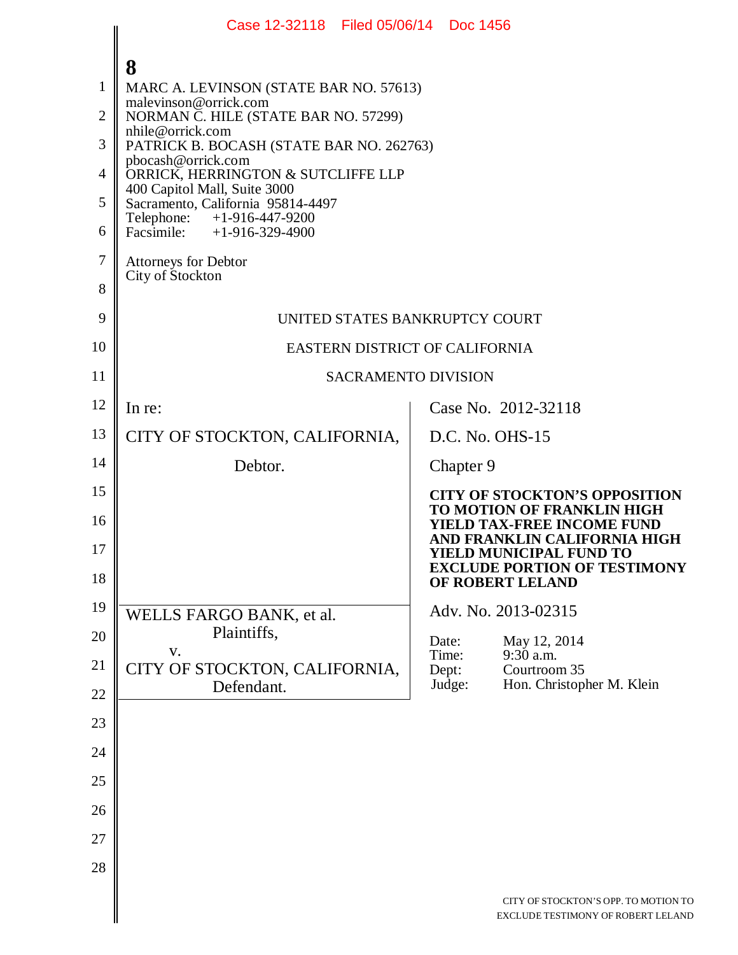|                | Case 12-32118 Filed 05/06/14 Doc 1456                             |                                                                            |  |  |  |  |  |
|----------------|-------------------------------------------------------------------|----------------------------------------------------------------------------|--|--|--|--|--|
|                | 8                                                                 |                                                                            |  |  |  |  |  |
| 1              | MARC A. LEVINSON (STATE BAR NO. 57613)                            |                                                                            |  |  |  |  |  |
| $\overline{2}$ | malevinson@orrick.com<br>NORMAN C. HILE (STATE BAR NO. 57299)     |                                                                            |  |  |  |  |  |
| 3              | nhile@orrick.com<br>PATRICK B. BOCASH (STATE BAR NO. 262763)      |                                                                            |  |  |  |  |  |
| $\overline{4}$ | pbocash@orrick.com<br>ORRICK, HERRINGTON & SUTCLIFFE LLP          |                                                                            |  |  |  |  |  |
| 5              | 400 Capitol Mall, Suite 3000<br>Sacramento, California 95814-4497 |                                                                            |  |  |  |  |  |
| 6              | Telephone: +1-916-447-9200<br>Facsimile: $+1-916-329-4900$        |                                                                            |  |  |  |  |  |
| 7              | Attorneys for Debtor                                              |                                                                            |  |  |  |  |  |
| 8              | City of Stockton                                                  |                                                                            |  |  |  |  |  |
| 9              | UNITED STATES BANKRUPTCY COURT                                    |                                                                            |  |  |  |  |  |
| 10             | EASTERN DISTRICT OF CALIFORNIA                                    |                                                                            |  |  |  |  |  |
| 11             | <b>SACRAMENTO DIVISION</b>                                        |                                                                            |  |  |  |  |  |
| 12             | In re:                                                            | Case No. 2012-32118                                                        |  |  |  |  |  |
| 13             | CITY OF STOCKTON, CALIFORNIA,                                     | D.C. No. OHS-15                                                            |  |  |  |  |  |
| 14             | Debtor.                                                           | Chapter 9                                                                  |  |  |  |  |  |
| 15             |                                                                   | <b>CITY OF STOCKTON'S OPPOSITION</b><br>TO MOTION OF FRANKLIN HIGH         |  |  |  |  |  |
| 16             |                                                                   | <b>YIELD TAX-FREE INCOME FUND</b><br>AND FRANKLIN CALIFORNIA HIGH          |  |  |  |  |  |
| 17             |                                                                   | YIELD MUNICIPAL FUND TO<br><b>EXCLUDE PORTION OF TESTIMONY</b>             |  |  |  |  |  |
| 18             |                                                                   | OF ROBERT LELAND                                                           |  |  |  |  |  |
| 19             | WELLS FARGO BANK, et al.                                          | Adv. No. 2013-02315                                                        |  |  |  |  |  |
| 20             | Plaintiffs,<br>V.                                                 | Date:<br>May 12, 2014<br>Time:<br>9:30 a.m.                                |  |  |  |  |  |
| 21             | CITY OF STOCKTON, CALIFORNIA,<br>Defendant.                       | Courtroom 35<br>Dept:<br>Hon. Christopher M. Klein<br>Judge:               |  |  |  |  |  |
| 22             |                                                                   |                                                                            |  |  |  |  |  |
| 23             |                                                                   |                                                                            |  |  |  |  |  |
| 24             |                                                                   |                                                                            |  |  |  |  |  |
| 25             |                                                                   |                                                                            |  |  |  |  |  |
| 26             |                                                                   |                                                                            |  |  |  |  |  |
| 27             |                                                                   |                                                                            |  |  |  |  |  |
| 28             |                                                                   |                                                                            |  |  |  |  |  |
|                |                                                                   | CITY OF STOCKTON'S OPP. TO MOTION TO<br>EXCLUDE TESTIMONY OF ROBERT LELAND |  |  |  |  |  |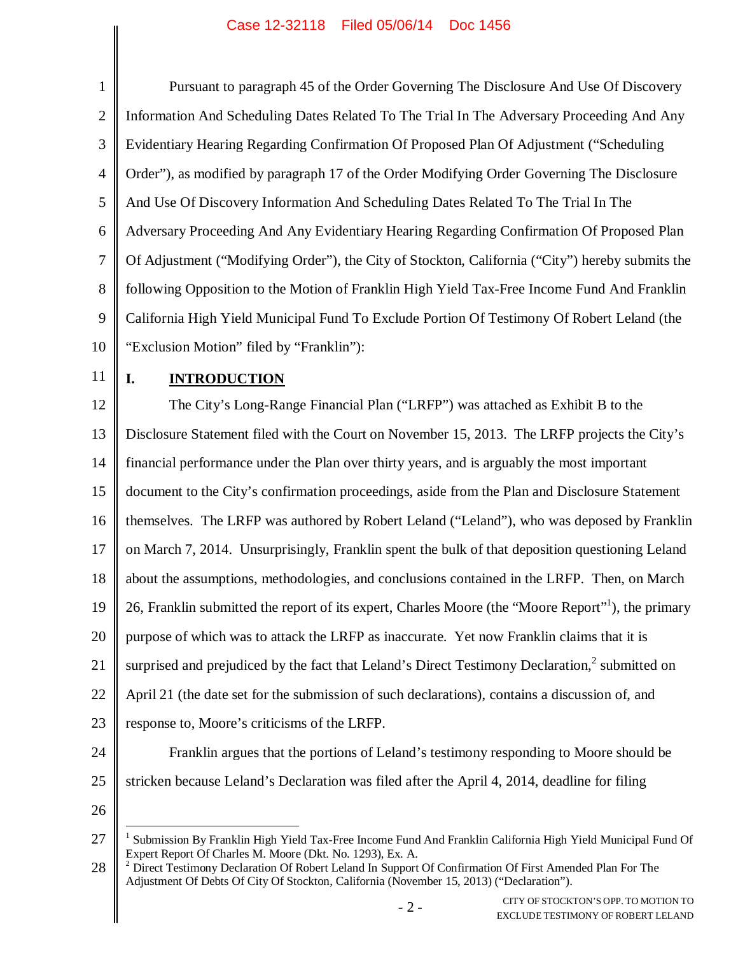| 1              | Pursuant to paragraph 45 of the Order Governing The Disclosure And Use Of Discovery                                                                                                                                                                                                |  |  |  |  |
|----------------|------------------------------------------------------------------------------------------------------------------------------------------------------------------------------------------------------------------------------------------------------------------------------------|--|--|--|--|
| $\overline{2}$ | Information And Scheduling Dates Related To The Trial In The Adversary Proceeding And Any                                                                                                                                                                                          |  |  |  |  |
| 3              | Evidentiary Hearing Regarding Confirmation Of Proposed Plan Of Adjustment ("Scheduling                                                                                                                                                                                             |  |  |  |  |
| $\overline{4}$ | Order"), as modified by paragraph 17 of the Order Modifying Order Governing The Disclosure                                                                                                                                                                                         |  |  |  |  |
| 5              | And Use Of Discovery Information And Scheduling Dates Related To The Trial In The                                                                                                                                                                                                  |  |  |  |  |
| 6              | Adversary Proceeding And Any Evidentiary Hearing Regarding Confirmation Of Proposed Plan                                                                                                                                                                                           |  |  |  |  |
| 7              | Of Adjustment ("Modifying Order"), the City of Stockton, California ("City") hereby submits the                                                                                                                                                                                    |  |  |  |  |
| 8              | following Opposition to the Motion of Franklin High Yield Tax-Free Income Fund And Franklin                                                                                                                                                                                        |  |  |  |  |
| 9              | California High Yield Municipal Fund To Exclude Portion Of Testimony Of Robert Leland (the                                                                                                                                                                                         |  |  |  |  |
| 10             | "Exclusion Motion" filed by "Franklin"):                                                                                                                                                                                                                                           |  |  |  |  |
| 11             | I.<br><b>INTRODUCTION</b>                                                                                                                                                                                                                                                          |  |  |  |  |
| 12             | The City's Long-Range Financial Plan ("LRFP") was attached as Exhibit B to the                                                                                                                                                                                                     |  |  |  |  |
| 13             | Disclosure Statement filed with the Court on November 15, 2013. The LRFP projects the City's                                                                                                                                                                                       |  |  |  |  |
| 14             | financial performance under the Plan over thirty years, and is arguably the most important                                                                                                                                                                                         |  |  |  |  |
| 15             | document to the City's confirmation proceedings, aside from the Plan and Disclosure Statement                                                                                                                                                                                      |  |  |  |  |
| 16             | themselves. The LRFP was authored by Robert Leland ("Leland"), who was deposed by Franklin                                                                                                                                                                                         |  |  |  |  |
| 17             | on March 7, 2014. Unsurprisingly, Franklin spent the bulk of that deposition questioning Leland                                                                                                                                                                                    |  |  |  |  |
| 18             | about the assumptions, methodologies, and conclusions contained in the LRFP. Then, on March                                                                                                                                                                                        |  |  |  |  |
| 19             | 26, Franklin submitted the report of its expert, Charles Moore (the "Moore Report" <sup>1</sup> ), the primary                                                                                                                                                                     |  |  |  |  |
| 20             | purpose of which was to attack the LRFP as inaccurate. Yet now Franklin claims that it is                                                                                                                                                                                          |  |  |  |  |
| 21             | surprised and prejudiced by the fact that Leland's Direct Testimony Declaration, <sup>2</sup> submitted on                                                                                                                                                                         |  |  |  |  |
| 22             | April 21 (the date set for the submission of such declarations), contains a discussion of, and                                                                                                                                                                                     |  |  |  |  |
| 23             | response to, Moore's criticisms of the LRFP.                                                                                                                                                                                                                                       |  |  |  |  |
| 24             | Franklin argues that the portions of Leland's testimony responding to Moore should be                                                                                                                                                                                              |  |  |  |  |
| 25             | stricken because Leland's Declaration was filed after the April 4, 2014, deadline for filing                                                                                                                                                                                       |  |  |  |  |
| 26             |                                                                                                                                                                                                                                                                                    |  |  |  |  |
| 27<br>28       | Submission By Franklin High Yield Tax-Free Income Fund And Franklin California High Yield Municipal Fund Of<br>Expert Report Of Charles M. Moore (Dkt. No. 1293), Ex. A.<br>Direct Testimony Declaration Of Robert Leland In Support Of Confirmation Of First Amended Plan For The |  |  |  |  |
|                | Adjustment Of Debts Of City Of Stockton, California (November 15, 2013) ("Declaration").<br><b>TITY OF STOCKTON'S ODD TO MOTION TO</b>                                                                                                                                             |  |  |  |  |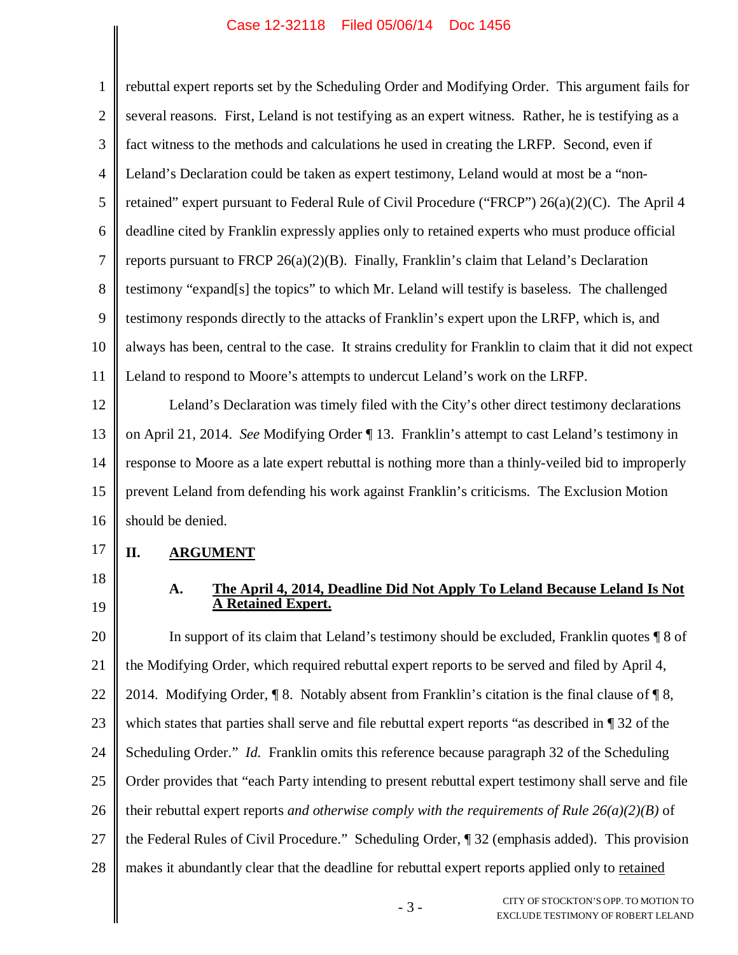1 2 3 4 5 6 7 8 9 10 11 12 13 14 rebuttal expert reports set by the Scheduling Order and Modifying Order. This argument fails for several reasons. First, Leland is not testifying as an expert witness. Rather, he is testifying as a fact witness to the methods and calculations he used in creating the LRFP. Second, even if Leland's Declaration could be taken as expert testimony, Leland would at most be a "nonretained" expert pursuant to Federal Rule of Civil Procedure ("FRCP") 26(a)(2)(C). The April 4 deadline cited by Franklin expressly applies only to retained experts who must produce official reports pursuant to FRCP  $26(a)(2)(B)$ . Finally, Franklin's claim that Leland's Declaration testimony "expand[s] the topics" to which Mr. Leland will testify is baseless. The challenged testimony responds directly to the attacks of Franklin's expert upon the LRFP, which is, and always has been, central to the case. It strains credulity for Franklin to claim that it did not expect Leland to respond to Moore's attempts to undercut Leland's work on the LRFP. Leland's Declaration was timely filed with the City's other direct testimony declarations on April 21, 2014. *See* Modifying Order ¶ 13. Franklin's attempt to cast Leland's testimony in response to Moore as a late expert rebuttal is nothing more than a thinly-veiled bid to improperly

15 16 prevent Leland from defending his work against Franklin's criticisms. The Exclusion Motion should be denied.

- 17 **II. ARGUMENT**
- 18
- 19

### **A. The April 4, 2014, Deadline Did Not Apply To Leland Because Leland Is Not A Retained Expert.**

20 21 22 23 24 25 26 27 28 In support of its claim that Leland's testimony should be excluded, Franklin quotes ¶ 8 of the Modifying Order, which required rebuttal expert reports to be served and filed by April 4, 2014. Modifying Order,  $\P$  8. Notably absent from Franklin's citation is the final clause of  $\P$  8, which states that parties shall serve and file rebuttal expert reports "as described in  $\P$  32 of the Scheduling Order." *Id.* Franklin omits this reference because paragraph 32 of the Scheduling Order provides that "each Party intending to present rebuttal expert testimony shall serve and file their rebuttal expert reports *and otherwise comply with the requirements of Rule 26(a)(2)(B)* of the Federal Rules of Civil Procedure." Scheduling Order, ¶ 32 (emphasis added). This provision makes it abundantly clear that the deadline for rebuttal expert reports applied only to retained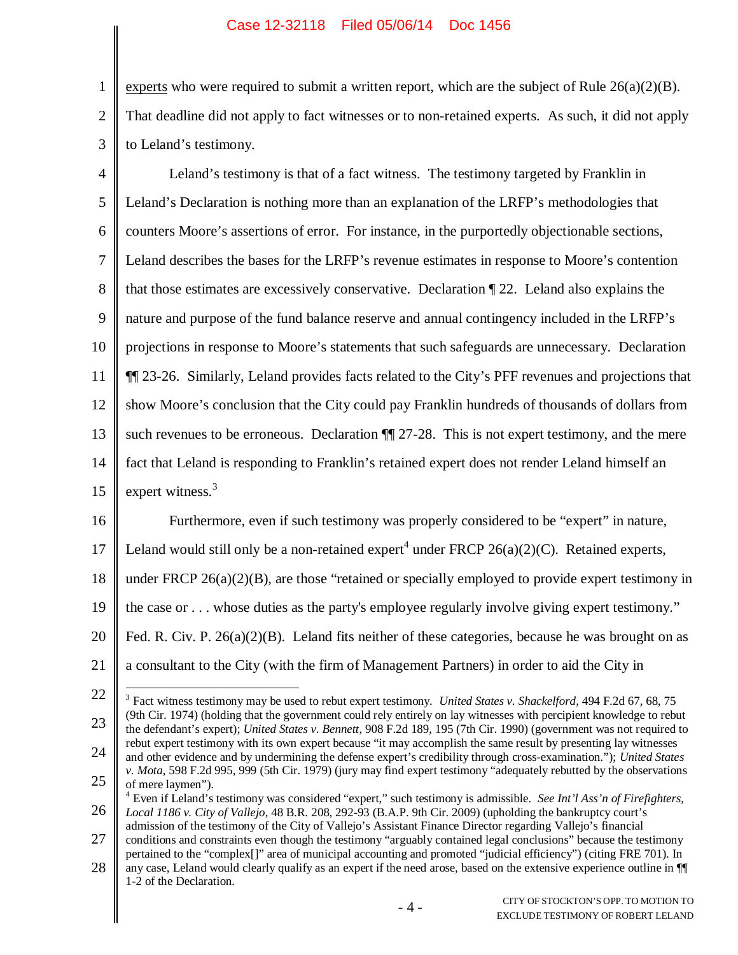1

2

3

experts who were required to submit a written report, which are the subject of Rule  $26(a)(2)(B)$ . That deadline did not apply to fact witnesses or to non-retained experts. As such, it did not apply to Leland's testimony.

4 5 6 7 8 9 10 11 12 13 14 15 16 17 18 19 20 21 22 23 24 25 Leland's testimony is that of a fact witness. The testimony targeted by Franklin in Leland's Declaration is nothing more than an explanation of the LRFP's methodologies that counters Moore's assertions of error. For instance, in the purportedly objectionable sections, Leland describes the bases for the LRFP's revenue estimates in response to Moore's contention that those estimates are excessively conservative. Declaration ¶ 22. Leland also explains the nature and purpose of the fund balance reserve and annual contingency included in the LRFP's projections in response to Moore's statements that such safeguards are unnecessary. Declaration ¶¶ 23-26. Similarly, Leland provides facts related to the City's PFF revenues and projections that show Moore's conclusion that the City could pay Franklin hundreds of thousands of dollars from such revenues to be erroneous. Declaration  $\P$  27-28. This is not expert testimony, and the mere fact that Leland is responding to Franklin's retained expert does not render Leland himself an expert witness.<sup>3</sup> Furthermore, even if such testimony was properly considered to be "expert" in nature, Leland would still only be a non-retained expert<sup>4</sup> under FRCP  $26(a)(2)(C)$ . Retained experts, under FRCP  $26(a)(2)(B)$ , are those "retained or specially employed to provide expert testimony in the case or . . . whose duties as the party's employee regularly involve giving expert testimony." Fed. R. Civ. P. 26(a)(2)(B). Leland fits neither of these categories, because he was brought on as a consultant to the City (with the firm of Management Partners) in order to aid the City in 3 Fact witness testimony may be used to rebut expert testimony. *United States v. Shackelford*, 494 F.2d 67, 68, 75 (9th Cir. 1974) (holding that the government could rely entirely on lay witnesses with percipient knowledge to rebut the defendant's expert); *United States v. Bennett*, 908 F.2d 189, 195 (7th Cir. 1990) (government was not required to rebut expert testimony with its own expert because "it may accomplish the same result by presenting lay witnesses and other evidence and by undermining the defense expert's credibility through cross-examination."); *United States v. Mota*, 598 F.2d 995, 999 (5th Cir. 1979) (jury may find expert testimony "adequately rebutted by the observations of mere laymen").

<sup>26</sup> <sup>4</sup> Even if Leland's testimony was considered "expert," such testimony is admissible. *See Int'l Ass'n of Firefighters, Local 1186 v. City of Vallejo*, 48 B.R. 208, 292-93 (B.A.P. 9th Cir. 2009) (upholding the bankruptcy court's admission of the testimony of the City of Vallejo's Assistant Finance Director regarding Vallejo's financial

<sup>27</sup> conditions and constraints even though the testimony "arguably contained legal conclusions" because the testimony pertained to the "complex[]" area of municipal accounting and promoted "judicial efficiency") (citing FRE 701). In

<sup>28</sup> any case, Leland would clearly qualify as an expert if the need arose, based on the extensive experience outline in ¶¶ 1-2 of the Declaration.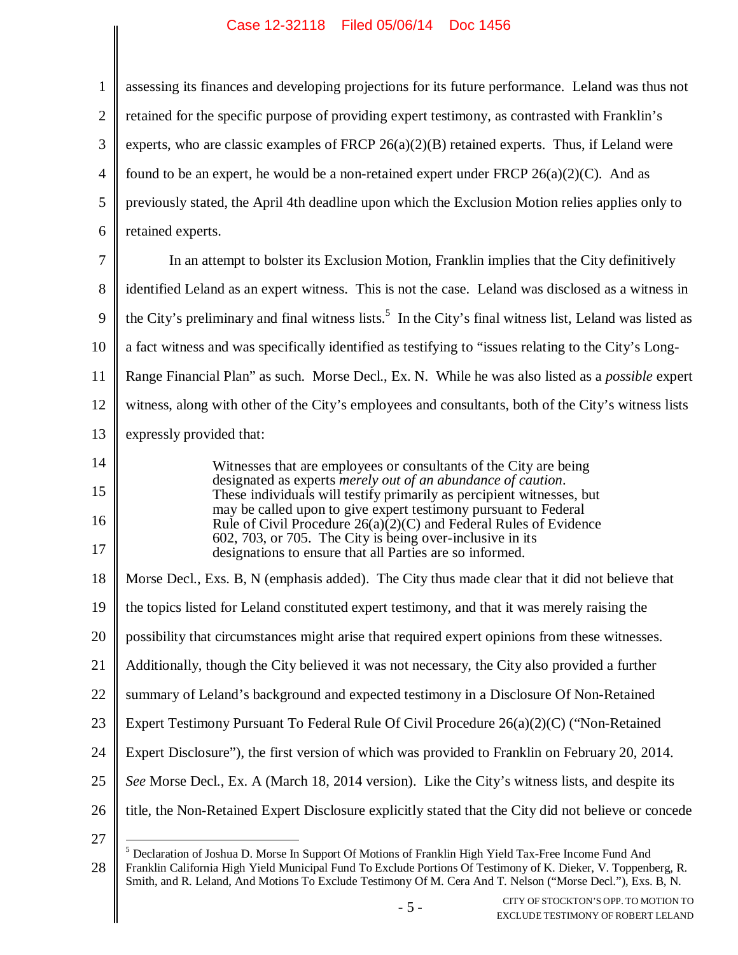| $\mathbf{1}$   | assessing its finances and developing projections for its future performance. Leland was thus not                                      |  |  |  |  |
|----------------|----------------------------------------------------------------------------------------------------------------------------------------|--|--|--|--|
| $\overline{2}$ | retained for the specific purpose of providing expert testimony, as contrasted with Franklin's                                         |  |  |  |  |
| 3              | experts, who are classic examples of FRCP $26(a)(2)(B)$ retained experts. Thus, if Leland were                                         |  |  |  |  |
| $\overline{4}$ | found to be an expert, he would be a non-retained expert under FRCP $26(a)(2)(C)$ . And as                                             |  |  |  |  |
| 5              | previously stated, the April 4th deadline upon which the Exclusion Motion relies applies only to                                       |  |  |  |  |
| 6              | retained experts.                                                                                                                      |  |  |  |  |
| 7              | In an attempt to bolster its Exclusion Motion, Franklin implies that the City definitively                                             |  |  |  |  |
| 8              | identified Leland as an expert witness. This is not the case. Leland was disclosed as a witness in                                     |  |  |  |  |
| 9              | the City's preliminary and final witness lists. <sup>5</sup> In the City's final witness list, Leland was listed as                    |  |  |  |  |
| 10             | a fact witness and was specifically identified as testifying to "issues relating to the City's Long-                                   |  |  |  |  |
| 11             | Range Financial Plan" as such. Morse Decl., Ex. N. While he was also listed as a <i>possible</i> expert                                |  |  |  |  |
| 12             | witness, along with other of the City's employees and consultants, both of the City's witness lists                                    |  |  |  |  |
| 13             | expressly provided that:                                                                                                               |  |  |  |  |
| 14             | Witnesses that are employees or consultants of the City are being                                                                      |  |  |  |  |
| 15             | designated as experts merely out of an abundance of caution.<br>These individuals will testify primarily as percipient witnesses, but  |  |  |  |  |
| 16             | may be called upon to give expert testimony pursuant to Federal<br>Rule of Civil Procedure $26(a)(2)(C)$ and Federal Rules of Evidence |  |  |  |  |
| 17             | 602, 703, or 705. The City is being over-inclusive in its<br>designations to ensure that all Parties are so informed.                  |  |  |  |  |
| 18             | Morse Decl., Exs. B, N (emphasis added). The City thus made clear that it did not believe that                                         |  |  |  |  |
| 19             | the topics listed for Leland constituted expert testimony, and that it was merely raising the                                          |  |  |  |  |
| 20             | possibility that circumstances might arise that required expert opinions from these witnesses.                                         |  |  |  |  |
| 21             | Additionally, though the City believed it was not necessary, the City also provided a further                                          |  |  |  |  |
| 22             | summary of Leland's background and expected testimony in a Disclosure Of Non-Retained                                                  |  |  |  |  |
| 23             | Expert Testimony Pursuant To Federal Rule Of Civil Procedure 26(a)(2)(C) ("Non-Retained                                                |  |  |  |  |
| 24             | Expert Disclosure"), the first version of which was provided to Franklin on February 20, 2014.                                         |  |  |  |  |
| 25             | See Morse Decl., Ex. A (March 18, 2014 version). Like the City's witness lists, and despite its                                        |  |  |  |  |
| 26             | title, the Non-Retained Expert Disclosure explicitly stated that the City did not believe or concede                                   |  |  |  |  |
| 27             | $^5$ Declaration of Joshua D. Morse In Support Of Motions of Franklin High Vield Tay Free Income Fund And                              |  |  |  |  |

<sup>28</sup> <sup>5</sup> Declaration of Joshua D. Morse In Support Of Motions of Franklin High Yield Tax-Free Income Fund And Franklin California High Yield Municipal Fund To Exclude Portions Of Testimony of K. Dieker, V. Toppenberg, R. Smith, and R. Leland, And Motions To Exclude Testimony Of M. Cera And T. Nelson ("Morse Decl."), Exs. B, N.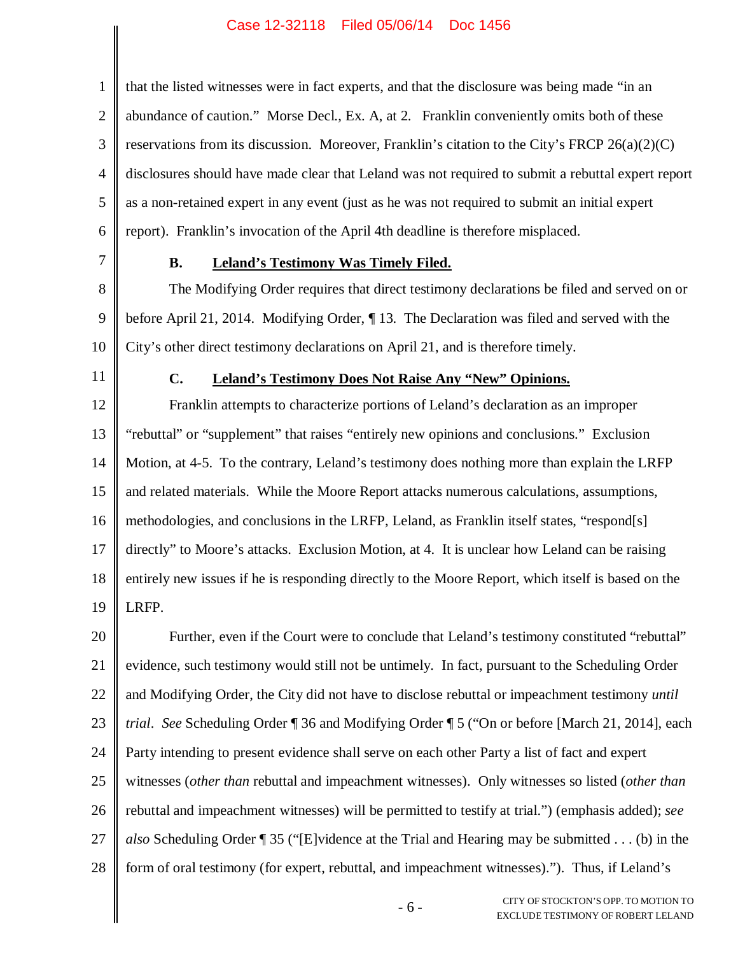1 2 3 4 5 6 that the listed witnesses were in fact experts, and that the disclosure was being made "in an abundance of caution." Morse Decl., Ex. A, at 2. Franklin conveniently omits both of these reservations from its discussion. Moreover, Franklin's citation to the City's FRCP  $26(a)(2)(C)$ disclosures should have made clear that Leland was not required to submit a rebuttal expert report as a non-retained expert in any event (just as he was not required to submit an initial expert report). Franklin's invocation of the April 4th deadline is therefore misplaced.

7

## **B. Leland's Testimony Was Timely Filed.**

8 9 10 The Modifying Order requires that direct testimony declarations be filed and served on or before April 21, 2014. Modifying Order, ¶ 13. The Declaration was filed and served with the City's other direct testimony declarations on April 21, and is therefore timely.

11

## **C. Leland's Testimony Does Not Raise Any "New" Opinions.**

12 13 14 15 16 17 18 19 Franklin attempts to characterize portions of Leland's declaration as an improper "rebuttal" or "supplement" that raises "entirely new opinions and conclusions." Exclusion Motion, at 4-5. To the contrary, Leland's testimony does nothing more than explain the LRFP and related materials. While the Moore Report attacks numerous calculations, assumptions, methodologies, and conclusions in the LRFP, Leland, as Franklin itself states, "respond[s] directly" to Moore's attacks. Exclusion Motion, at 4. It is unclear how Leland can be raising entirely new issues if he is responding directly to the Moore Report, which itself is based on the LRFP.

20 21 22 23 24 25 26 27 28 Further, even if the Court were to conclude that Leland's testimony constituted "rebuttal" evidence, such testimony would still not be untimely. In fact, pursuant to the Scheduling Order and Modifying Order, the City did not have to disclose rebuttal or impeachment testimony *until trial*. *See* Scheduling Order ¶ 36 and Modifying Order ¶ 5 ("On or before [March 21, 2014], each Party intending to present evidence shall serve on each other Party a list of fact and expert witnesses (*other than* rebuttal and impeachment witnesses). Only witnesses so listed (*other than* rebuttal and impeachment witnesses) will be permitted to testify at trial.") (emphasis added); *see also* Scheduling Order ¶ 35 ("[E]vidence at the Trial and Hearing may be submitted . . . (b) in the form of oral testimony (for expert, rebuttal, and impeachment witnesses)."). Thus, if Leland's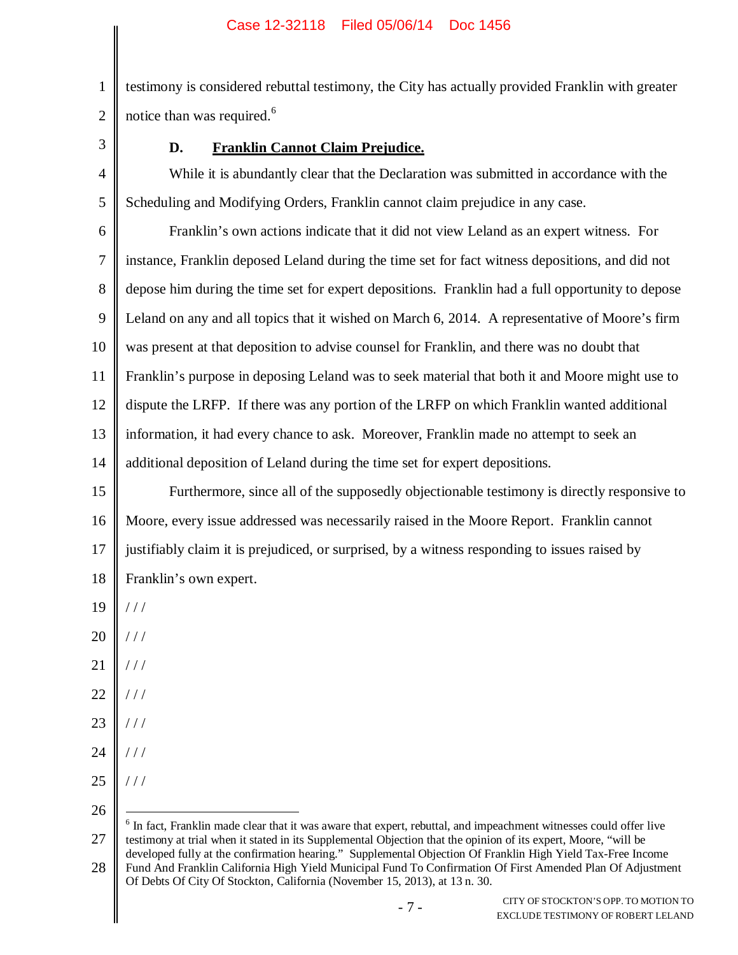2 testimony is considered rebuttal testimony, the City has actually provided Franklin with greater notice than was required.<sup>6</sup>

3

1

# **D. Franklin Cannot Claim Prejudice.**

4 5 While it is abundantly clear that the Declaration was submitted in accordance with the Scheduling and Modifying Orders, Franklin cannot claim prejudice in any case.

6 7 8 9 10 11 12 13 14 Franklin's own actions indicate that it did not view Leland as an expert witness. For instance, Franklin deposed Leland during the time set for fact witness depositions, and did not depose him during the time set for expert depositions. Franklin had a full opportunity to depose Leland on any and all topics that it wished on March 6, 2014. A representative of Moore's firm was present at that deposition to advise counsel for Franklin, and there was no doubt that Franklin's purpose in deposing Leland was to seek material that both it and Moore might use to dispute the LRFP. If there was any portion of the LRFP on which Franklin wanted additional information, it had every chance to ask. Moreover, Franklin made no attempt to seek an additional deposition of Leland during the time set for expert depositions.

15 16 17 18 Furthermore, since all of the supposedly objectionable testimony is directly responsive to Moore, every issue addressed was necessarily raised in the Moore Report. Franklin cannot justifiably claim it is prejudiced, or surprised, by a witness responding to issues raised by Franklin's own expert.

- 19  $//$
- 20 / / /
- 21  $//$
- 22 / / /
- 23 / / /
- 24 / / /
- 25 / / /
- 26

<sup>27</sup> <sup>6</sup> In fact, Franklin made clear that it was aware that expert, rebuttal, and impeachment witnesses could offer live testimony at trial when it stated in its Supplemental Objection that the opinion of its expert, Moore, "will be developed fully at the confirmation hearing." Supplemental Objection Of Franklin High Yield Tax-Free Income

<sup>28</sup> Fund And Franklin California High Yield Municipal Fund To Confirmation Of First Amended Plan Of Adjustment Of Debts Of City Of Stockton, California (November 15, 2013), at 13 n. 30.